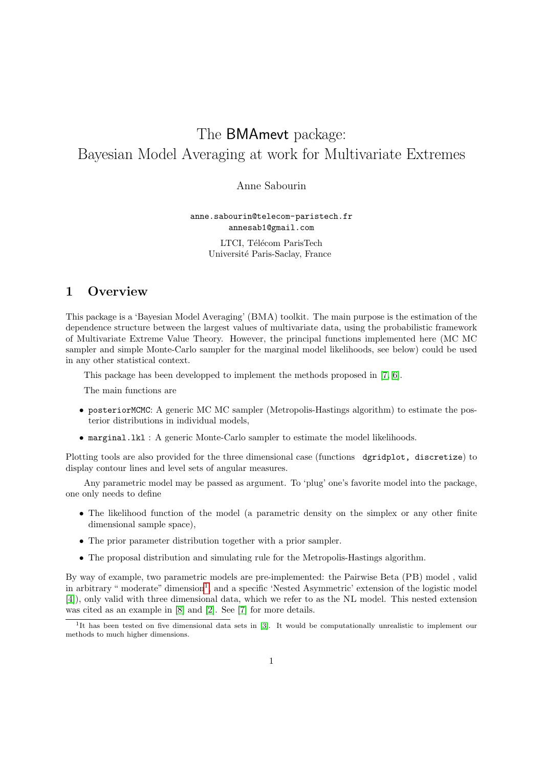# The BMAmevt package: Bayesian Model Averaging at work for Multivariate Extremes

Anne Sabourin

anne.sabourin@telecom-paristech.fr annesab1@gmail.com

> LTCI, Télécom ParisTech Université Paris-Saclay, France

### 1 Overview

This package is a 'Bayesian Model Averaging' (BMA) toolkit. The main purpose is the estimation of the dependence structure between the largest values of multivariate data, using the probabilistic framework of Multivariate Extreme Value Theory. However, the principal functions implemented here (MC MC sampler and simple Monte-Carlo sampler for the marginal model likelihoods, see below) could be used in any other statistical context.

This package has been developped to implement the methods proposed in [\[7,](#page-4-0) [6\]](#page-4-1).

The main functions are

- posteriorMCMC: A generic MC MC sampler (Metropolis-Hastings algorithm) to estimate the posterior distributions in individual models,
- marginal.lkl : A generic Monte-Carlo sampler to estimate the model likelihoods.

Plotting tools are also provided for the three dimensional case (functions dgridplot, discretize) to display contour lines and level sets of angular measures.

Any parametric model may be passed as argument. To 'plug' one's favorite model into the package, one only needs to define

- The likelihood function of the model (a parametric density on the simplex or any other finite dimensional sample space),
- The prior parameter distribution together with a prior sampler.
- The proposal distribution and simulating rule for the Metropolis-Hastings algorithm.

By way of example, two parametric models are pre-implemented: the Pairwise Beta (PB) model , valid in arbitrary "moderate" dimension<sup>[1](#page-0-0)</sup>, and a specific 'Nested Asymmetric' extension of the logistic model [\[4\]](#page-4-2)), only valid with three dimensional data, which we refer to as the NL model. This nested extension was cited as an example in [\[8\]](#page-4-3) and [\[2\]](#page-3-0). See [\[7\]](#page-4-0) for more details.

<span id="page-0-0"></span><sup>&</sup>lt;sup>1</sup>It has been tested on five dimensional data sets in [\[3\]](#page-3-1). It would be computationally unrealistic to implement our methods to much higher dimensions.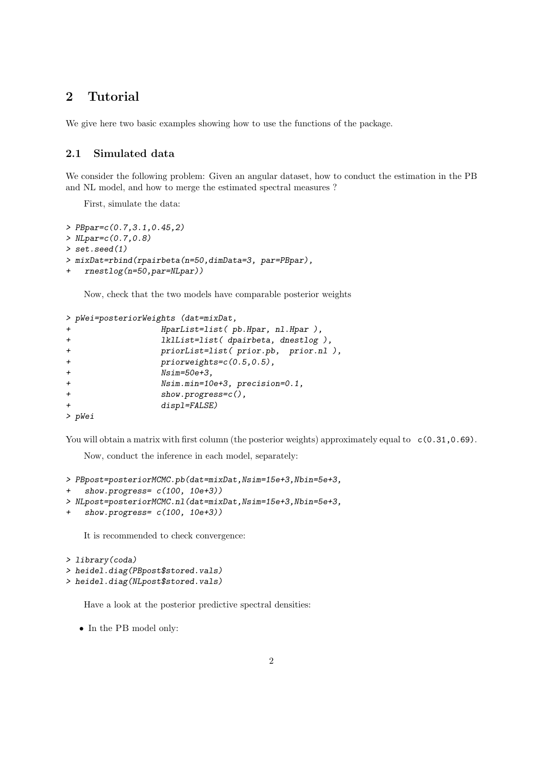## 2 Tutorial

We give here two basic examples showing how to use the functions of the package.

#### 2.1 Simulated data

We consider the following problem: Given an angular dataset, how to conduct the estimation in the PB and NL model, and how to merge the estimated spectral measures ?

First, simulate the data:

```
> PBpar=c(0.7,3.1,0.45,2)
> NLpar=c(0.7,0.8)
> set.seed(1)
> mixDat=rbind(rpairbeta(n=50,dimData=3, par=PBpar),
+ rnestlog(n=50,par=NLpar))
```
Now, check that the two models have comparable posterior weights

```
> pWei=posteriorWeights (dat=mixDat,
+ HparList=list( pb.Hpar, nl.Hpar ),
+ lklList=list( dpairbeta, dnestlog ),
+ priorList=list( prior.pb, prior.nl ),
+ priorweights=c(0.5,0.5),
+ Nsim=50e+3,
+ Nsim.min=10e+3, precision=0.1,
+ show.progress=c(),
+ displ=FALSE)
> pWei
```
You will obtain a matrix with first column (the posterior weights) approximately equal to  $c(0.31,0.69)$ .

Now, conduct the inference in each model, separately:

```
> PBpost=posteriorMCMC.pb(dat=mixDat,Nsim=15e+3,Nbin=5e+3,
+ show.progress= c(100, 10e+3))
> NLpost=posteriorMCMC.nl(dat=mixDat,Nsim=15e+3,Nbin=5e+3,
+ show.progress= c(100, 10e+3))
```
It is recommended to check convergence:

```
> library(coda)
> heidel.diag(PBpost$stored.vals)
```
> heidel.diag(NLpost\$stored.vals)

Have a look at the posterior predictive spectral densities:

• In the PB model only: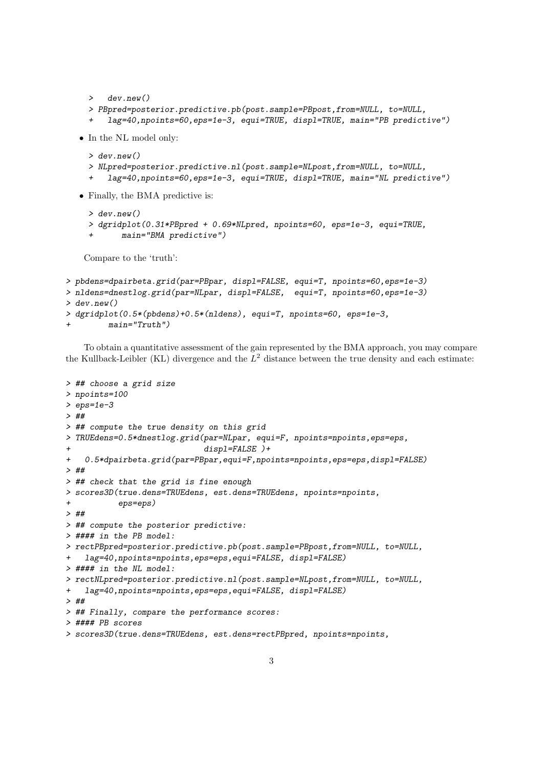```
> dev.new()
     > PBpred=posterior.predictive.pb(post.sample=PBpost,from=NULL, to=NULL,
         + lag=40,npoints=60,eps=1e-3, equi=TRUE, displ=TRUE, main="PB predictive")
  • In the NL model only:
     > dev.new()
     > NLpred=posterior.predictive.nl(post.sample=NLpost,from=NULL, to=NULL,
         + lag=40,npoints=60,eps=1e-3, equi=TRUE, displ=TRUE, main="NL predictive")
  • Finally, the BMA predictive is:
    > dev.new()
     > dgridplot(0.31*PBpred + 0.69*NLpred, npoints=60, eps=1e-3, equi=TRUE,
     + main="BMA predictive")
   Compare to the 'truth':
> pbdens=dpairbeta.grid(par=PBpar, displ=FALSE, equi=T, npoints=60,eps=1e-3)
```

```
> nldens=dnestlog.grid(par=NLpar, displ=FALSE, equi=T, npoints=60,eps=1e-3)
> dev.new()
```

```
> dgridplot(0.5*(pbdens)+0.5*(nldens), equi=T, npoints=60, eps=1e-3,
```

```
main="truth")
```
To obtain a quantitative assessment of the gain represented by the BMA approach, you may compare the Kullback-Leibler (KL) divergence and the  $L^2$  distance between the true density and each estimate:

```
> ## choose a grid size
> npoints=100
> eps=1e-3
> ##
> ## compute the true density on this grid
> TRUEdens=0.5*dnestlog.grid(par=NLpar, equi=F, npoints=npoints,eps=eps,
                             displ=False)+
+ 0.5*dpairbeta.grid(par=PBpar,equi=F,npoints=npoints,eps=eps,displ=FALSE)
> ##
> ## check that the grid is fine enough
> scores3D(true.dens=TRUEdens, est.dens=TRUEdens, npoints=npoints,
           eps=eps)
> ##
> ## compute the posterior predictive:
> #### in the PB model:
> rectPBpred=posterior.predictive.pb(post.sample=PBpost,from=NULL, to=NULL,
+ lag=40,npoints=npoints,eps=eps,equi=FALSE, displ=FALSE)
> #### in the NL model:
> rectNLpred=posterior.predictive.nl(post.sample=NLpost,from=NULL, to=NULL,
   lag=40,npoints=npoints,eps=eps,equi=FALSE, displ=FALSE)
> ##
> ## Finally, compare the performance scores:
> #### PB scores
> scores3D(true.dens=TRUEdens, est.dens=rectPBpred, npoints=npoints,
```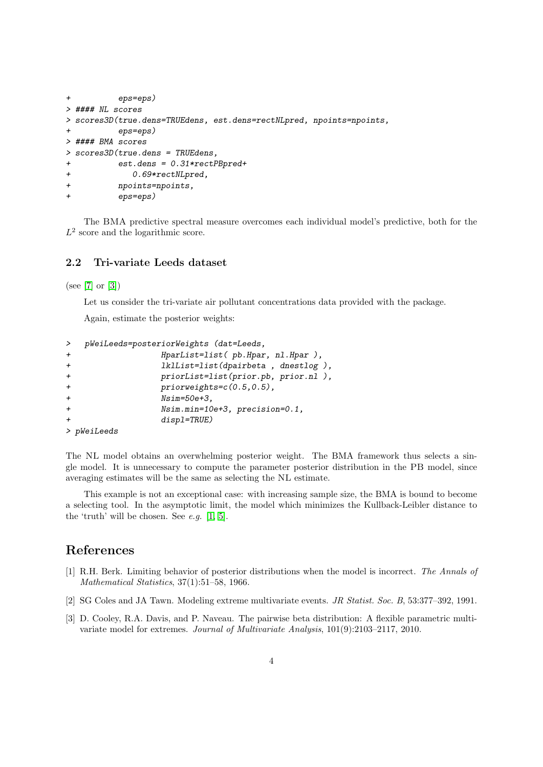```
+ eps=eps)
> #### NL scores
> scores3D(true.dens=TRUEdens, est.dens=rectNLpred, npoints=npoints,
+ eps=eps)
> #### BMA scores
> scores3D(true.dens = TRUEdens,
+ est.dens = 0.31*rectPBpred+
+ 0.69*rectNLpred,
+ npoints=npoints,
         eps=eps)
```
The BMA predictive spectral measure overcomes each individual model's predictive, both for the  $L^2$  score and the logarithmic score.

#### 2.2 Tri-variate Leeds dataset

(see [\[7\]](#page-4-0) or [\[3\]](#page-3-1))

Let us consider the tri-variate air pollutant concentrations data provided with the package.

Again, estimate the posterior weights:

```
> pWeiLeeds=posteriorWeights (dat=Leeds,
+ HparList=list( pb.Hpar, nl.Hpar ),
+ lklList=list(dpairbeta , dnestlog ),
+ priorList=list(prior.pb, prior.nl ),
+ priorweights=c(0.5,0.5),
+ Nsim=50e+3,
              Nsim.min=10e+3, precision=0.1,
+ displ=TRUE)
> pWeiLeeds
```

```
The NL model obtains an overwhelming posterior weight. The BMA framework thus selects a sin-
gle model. It is unnecessary to compute the parameter posterior distribution in the PB model, since
averaging estimates will be the same as selecting the NL estimate.
```
This example is not an exceptional case: with increasing sample size, the BMA is bound to become a selecting tool. In the asymptotic limit, the model which minimizes the Kullback-Leibler distance to the 'truth' will be chosen. See  $e.g.$  [\[1,](#page-3-2) [5\]](#page-4-4).

#### References

- <span id="page-3-2"></span>[1] R.H. Berk. Limiting behavior of posterior distributions when the model is incorrect. The Annals of Mathematical Statistics, 37(1):51–58, 1966.
- <span id="page-3-0"></span>[2] SG Coles and JA Tawn. Modeling extreme multivariate events. JR Statist. Soc. B, 53:377–392, 1991.
- <span id="page-3-1"></span>[3] D. Cooley, R.A. Davis, and P. Naveau. The pairwise beta distribution: A flexible parametric multivariate model for extremes. Journal of Multivariate Analysis, 101(9):2103–2117, 2010.